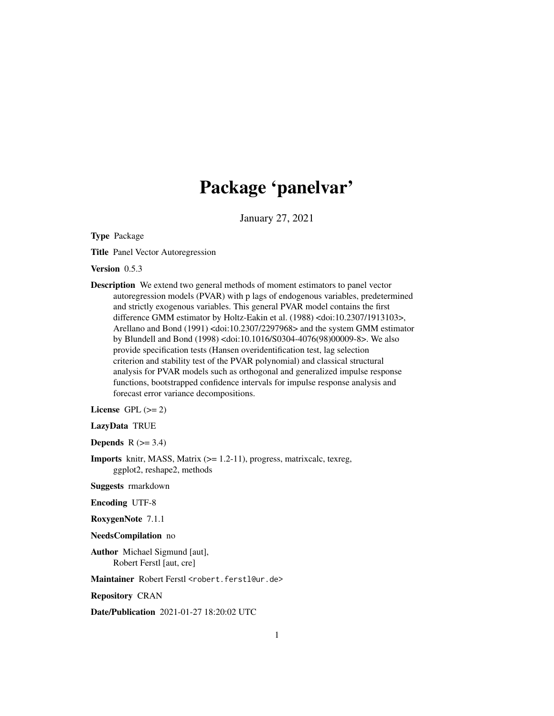# Package 'panelvar'

January 27, 2021

Type Package

Title Panel Vector Autoregression

Version 0.5.3

Description We extend two general methods of moment estimators to panel vector autoregression models (PVAR) with p lags of endogenous variables, predetermined and strictly exogenous variables. This general PVAR model contains the first difference GMM estimator by Holtz-Eakin et al. (1988) <doi:10.2307/1913103>, Arellano and Bond (1991) <doi:10.2307/2297968> and the system GMM estimator by Blundell and Bond (1998) <doi:10.1016/S0304-4076(98)00009-8>. We also provide specification tests (Hansen overidentification test, lag selection criterion and stability test of the PVAR polynomial) and classical structural analysis for PVAR models such as orthogonal and generalized impulse response functions, bootstrapped confidence intervals for impulse response analysis and forecast error variance decompositions.

License GPL  $(>= 2)$ 

LazyData TRUE

Depends  $R$  ( $>= 3.4$ )

Imports knitr, MASS, Matrix (>= 1.2-11), progress, matrixcalc, texreg, ggplot2, reshape2, methods

Suggests rmarkdown

Encoding UTF-8

RoxygenNote 7.1.1

NeedsCompilation no

Author Michael Sigmund [aut], Robert Ferstl [aut, cre]

Maintainer Robert Ferstl <robert.ferstl@ur.de>

Repository CRAN

Date/Publication 2021-01-27 18:20:02 UTC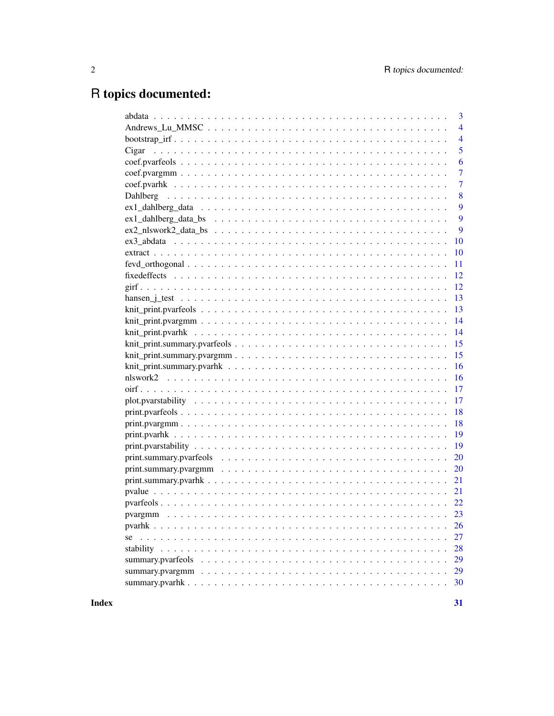# R topics documented:

|       | 3              |
|-------|----------------|
|       | $\overline{4}$ |
|       | $\overline{4}$ |
| Cigar | 5              |
|       | 6              |
|       | $\overline{7}$ |
|       | $\overline{7}$ |
|       | 8              |
|       | 9              |
|       | 9              |
|       | 9              |
|       | 10             |
|       | 10             |
|       | 11             |
|       | 12             |
|       | 12             |
|       | 13             |
|       | 13             |
|       | 14             |
|       | 14             |
|       | 15             |
|       | 15             |
|       | 16             |
|       | 16             |
|       | 17             |
|       | 17             |
|       | 18             |
|       | 18             |
|       | 19             |
|       | 19             |
|       | 20             |
|       | <b>20</b>      |
|       | 21             |
|       |                |
|       |                |
|       |                |
|       |                |
|       | <b>26</b>      |
| se    | 27             |
|       | 28             |
|       | 29             |
|       | 29             |
|       | 30             |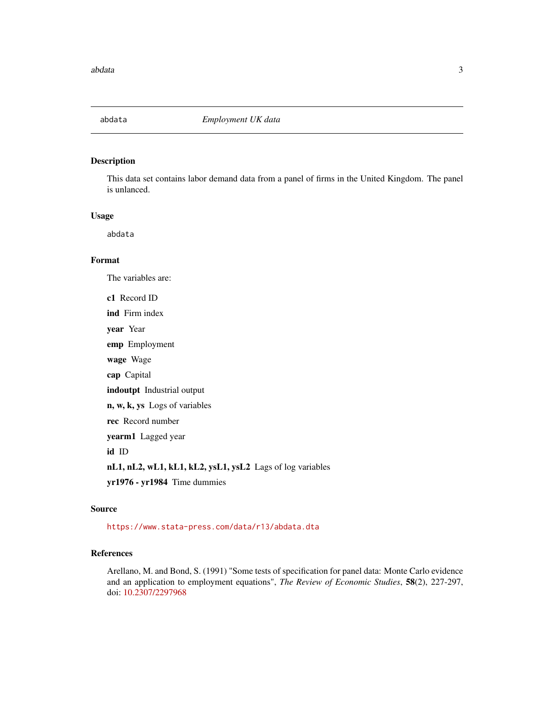<span id="page-2-0"></span>

This data set contains labor demand data from a panel of firms in the United Kingdom. The panel is unlanced.

#### Usage

abdata

### Format

The variables are:

c1 Record ID ind Firm index year Year emp Employment wage Wage cap Capital indoutpt Industrial output n, w, k, ys Logs of variables rec Record number yearm1 Lagged year id ID nL1, nL2, wL1, kL1, kL2, ysL1, ysL2 Lags of log variables yr1976 - yr1984 Time dummies

### Source

<https://www.stata-press.com/data/r13/abdata.dta>

### References

Arellano, M. and Bond, S. (1991) "Some tests of specification for panel data: Monte Carlo evidence and an application to employment equations", *The Review of Economic Studies*, 58(2), 227-297, doi: [10.2307/2297968](https://doi.org/10.2307/2297968)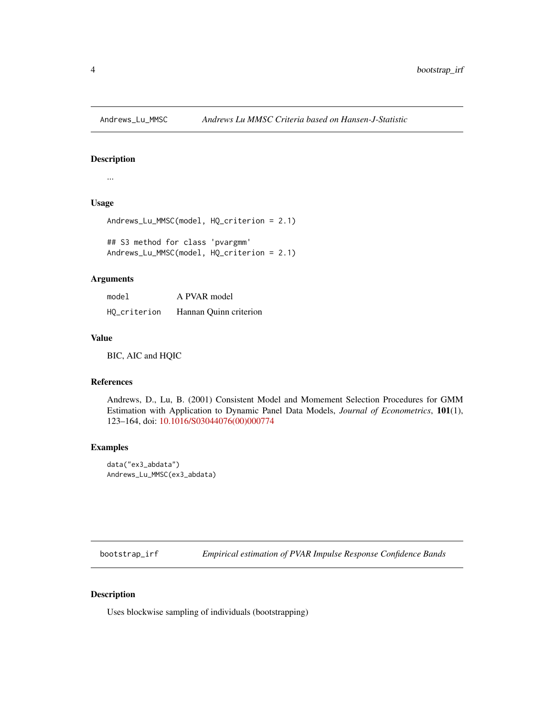<span id="page-3-0"></span>

...

### Usage

```
Andrews_Lu_MMSC(model, HQ_criterion = 2.1)
```
## S3 method for class 'pvargmm' Andrews\_Lu\_MMSC(model, HQ\_criterion = 2.1)

### Arguments

| model        | A PVAR model           |
|--------------|------------------------|
| HO_criterion | Hannan Quinn criterion |

### Value

BIC, AIC and HQIC

### References

Andrews, D., Lu, B. (2001) Consistent Model and Momement Selection Procedures for GMM Estimation with Application to Dynamic Panel Data Models, *Journal of Econometrics*, 101(1), 123–164, doi: [10.1016/S03044076\(00\)000774](https://doi.org/10.1016/S0304-4076(00)00077-4)

### Examples

```
data("ex3_abdata")
Andrews_Lu_MMSC(ex3_abdata)
```
bootstrap\_irf *Empirical estimation of PVAR Impulse Response Confidence Bands*

### Description

Uses blockwise sampling of individuals (bootstrapping)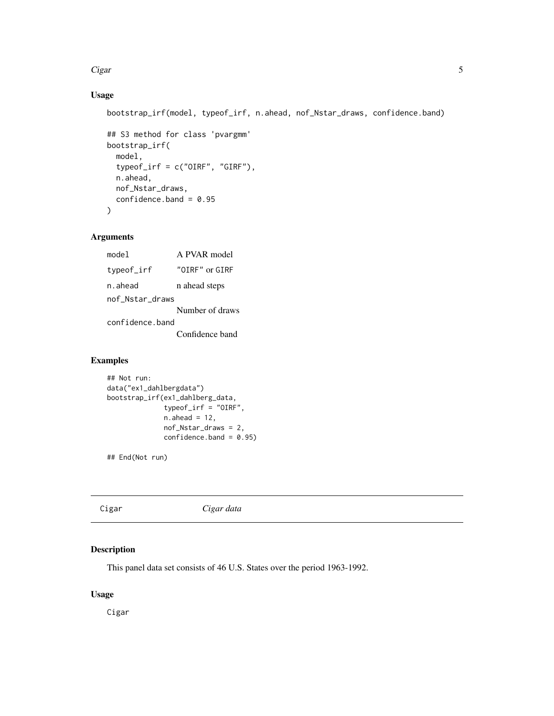### <span id="page-4-0"></span>Cigar 5

### Usage

```
bootstrap_irf(model, typeof_irf, n.ahead, nof_Nstar_draws, confidence.band)
```

```
## S3 method for class 'pvargmm'
bootstrap_irf(
 model,
  typeof_irf = c("OIRF", "GIRF"),
 n.ahead,
 nof_Nstar_draws,
 confidence.band = 0.95
)
```
### Arguments

| Iehom           | A PVAR model    |
|-----------------|-----------------|
| typeof_irf      | "OTRF" or GTRF  |
| n.ahead         | n ahead steps   |
| nof Nstar draws |                 |
|                 | Number of draws |
| confidence band |                 |
|                 | Confidence band |

### Examples

```
## Not run:
data("ex1_dahlbergdata")
bootstrap_irf(ex1_dahlberg_data,
              typeof_irf = "OIRF",
              n.ahead = 12,
              nof_Nstar_draws = 2,
              confidence-band = 0.95)
```
## End(Not run)

Cigar *Cigar data*

### Description

This panel data set consists of 46 U.S. States over the period 1963-1992.

### Usage

Cigar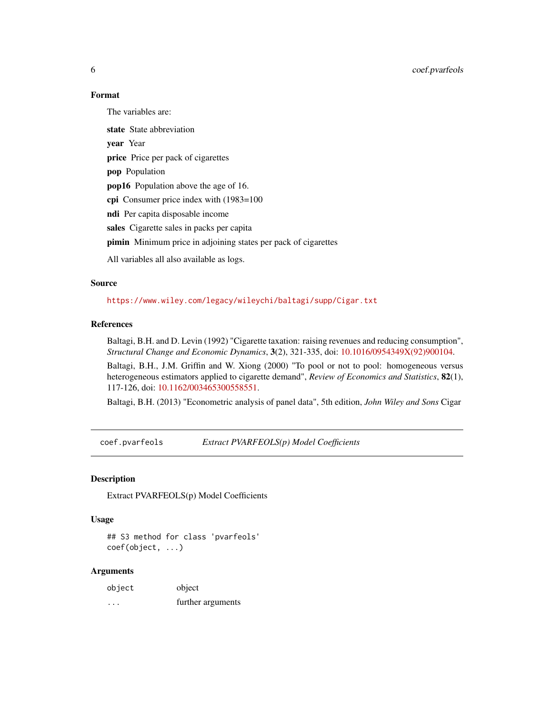### Format

The variables are:

state State abbreviation year Year price Price per pack of cigarettes pop Population pop16 Population above the age of 16. cpi Consumer price index with (1983=100 ndi Per capita disposable income sales Cigarette sales in packs per capita pimin Minimum price in adjoining states per pack of cigarettes All variables all also available as logs.

### Source

<https://www.wiley.com/legacy/wileychi/baltagi/supp/Cigar.txt>

### References

Baltagi, B.H. and D. Levin (1992) "Cigarette taxation: raising revenues and reducing consumption", *Structural Change and Economic Dynamics*, 3(2), 321-335, doi: [10.1016/0954349X\(92\)900104.](https://doi.org/10.1016/0954-349X(92)90010-4)

Baltagi, B.H., J.M. Griffin and W. Xiong (2000) "To pool or not to pool: homogeneous versus heterogeneous estimators applied to cigarette demand", *Review of Economics and Statistics*, 82(1), 117-126, doi: [10.1162/003465300558551.](https://doi.org/10.1162/003465300558551)

Baltagi, B.H. (2013) "Econometric analysis of panel data", 5th edition, *John Wiley and Sons* Cigar

coef.pvarfeols *Extract PVARFEOLS(p) Model Coefficients*

### Description

Extract PVARFEOLS(p) Model Coefficients

### Usage

## S3 method for class 'pvarfeols' coef(object, ...)

| object | object            |
|--------|-------------------|
| .      | further arguments |

<span id="page-5-0"></span>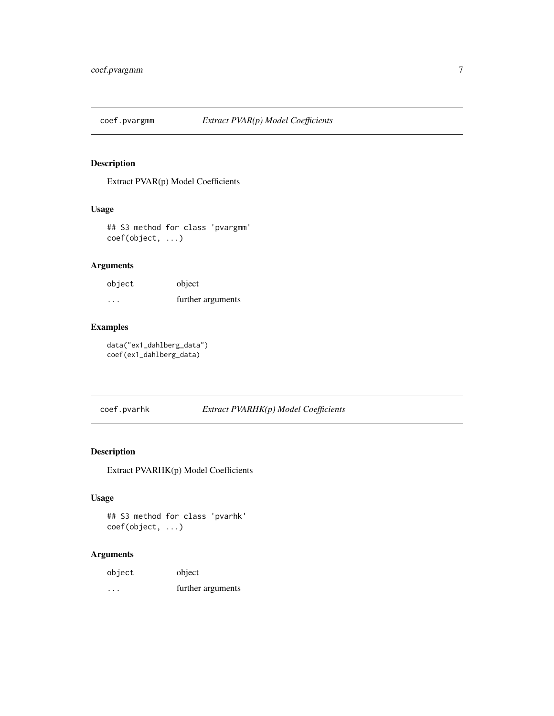<span id="page-6-1"></span><span id="page-6-0"></span>

Extract PVAR(p) Model Coefficients

### Usage

## S3 method for class 'pvargmm' coef(object, ...)

### Arguments

| object | object            |
|--------|-------------------|
| .      | further arguments |

### Examples

data("ex1\_dahlberg\_data") coef(ex1\_dahlberg\_data)

### coef.pvarhk *Extract PVARHK(p) Model Coefficients*

### Description

Extract PVARHK(p) Model Coefficients

### Usage

## S3 method for class 'pvarhk' coef(object, ...)

| object  | object            |
|---------|-------------------|
| $\cdot$ | further arguments |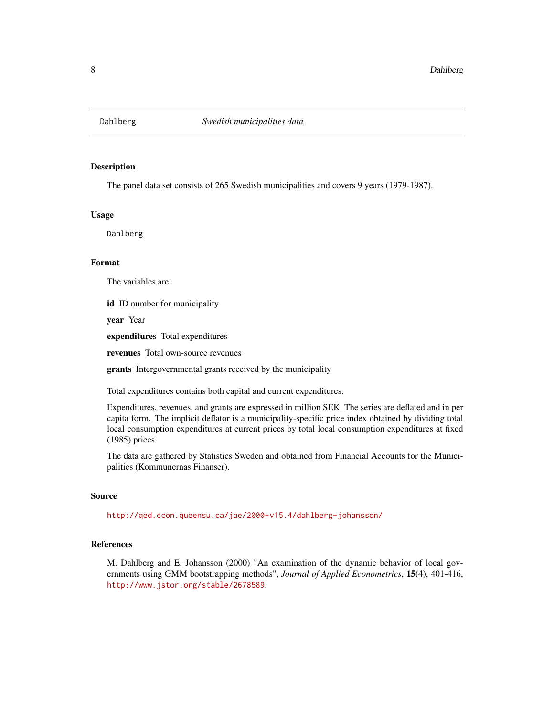<span id="page-7-0"></span>

The panel data set consists of 265 Swedish municipalities and covers 9 years (1979-1987).

### Usage

Dahlberg

### Format

The variables are:

id ID number for municipality

year Year

expenditures Total expenditures

revenues Total own-source revenues

grants Intergovernmental grants received by the municipality

Total expenditures contains both capital and current expenditures.

Expenditures, revenues, and grants are expressed in million SEK. The series are deflated and in per capita form. The implicit deflator is a municipality-specific price index obtained by dividing total local consumption expenditures at current prices by total local consumption expenditures at fixed (1985) prices.

The data are gathered by Statistics Sweden and obtained from Financial Accounts for the Municipalities (Kommunernas Finanser).

### Source

<http://qed.econ.queensu.ca/jae/2000-v15.4/dahlberg-johansson/>

### References

M. Dahlberg and E. Johansson (2000) "An examination of the dynamic behavior of local governments using GMM bootstrapping methods", *Journal of Applied Econometrics*, 15(4), 401-416, <http://www.jstor.org/stable/2678589>.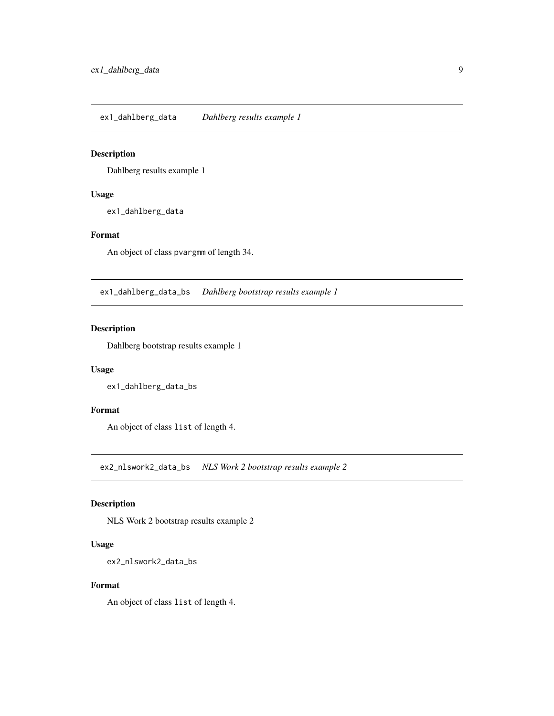<span id="page-8-0"></span>ex1\_dahlberg\_data *Dahlberg results example 1*

### Description

Dahlberg results example 1

### Usage

ex1\_dahlberg\_data

### Format

An object of class pvargmm of length 34.

ex1\_dahlberg\_data\_bs *Dahlberg bootstrap results example 1*

### Description

Dahlberg bootstrap results example 1

### Usage

ex1\_dahlberg\_data\_bs

### Format

An object of class list of length 4.

ex2\_nlswork2\_data\_bs *NLS Work 2 bootstrap results example 2*

### Description

NLS Work 2 bootstrap results example 2

### Usage

```
ex2_nlswork2_data_bs
```
### Format

An object of class list of length 4.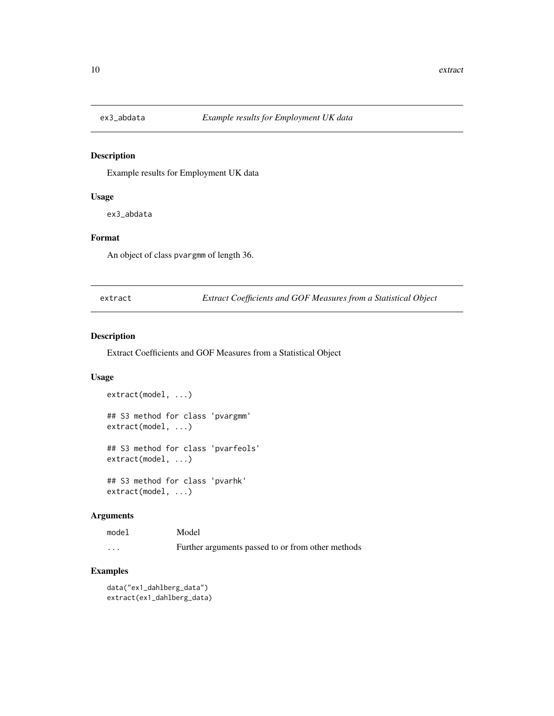<span id="page-9-0"></span>

Example results for Employment UK data

### Usage

ex3\_abdata

### Format

An object of class pvargmm of length 36.

extract *Extract Coefficients and GOF Measures from a Statistical Object*

### Description

Extract Coefficients and GOF Measures from a Statistical Object

### Usage

```
extract(model, ...)
## S3 method for class 'pvargmm'
extract(model, ...)
## S3 method for class 'pvarfeols'
extract(model, ...)
## S3 method for class 'pvarhk'
```
extract(model, ...)

### Arguments

| model    | Model                                             |
|----------|---------------------------------------------------|
| $\cdots$ | Further arguments passed to or from other methods |

### Examples

data("ex1\_dahlberg\_data") extract(ex1\_dahlberg\_data)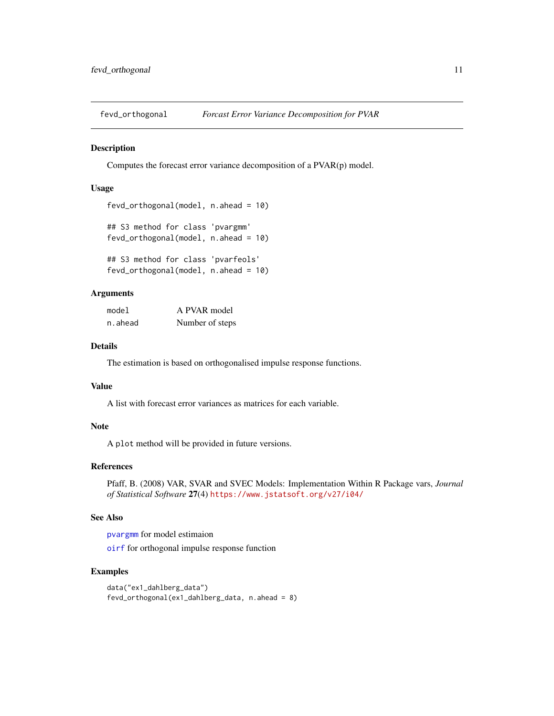<span id="page-10-1"></span><span id="page-10-0"></span>

Computes the forecast error variance decomposition of a PVAR(p) model.

### Usage

```
fevd_orthogonal(model, n.ahead = 10)
## S3 method for class 'pvargmm'
fevd_orthogonal(model, n.ahead = 10)
## S3 method for class 'pvarfeols'
fevd_orthogonal(model, n.ahead = 10)
```
### Arguments

| model   | A PVAR model    |  |
|---------|-----------------|--|
| n.ahead | Number of steps |  |

### Details

The estimation is based on orthogonalised impulse response functions.

#### Value

A list with forecast error variances as matrices for each variable.

### Note

A plot method will be provided in future versions.

### References

Pfaff, B. (2008) VAR, SVAR and SVEC Models: Implementation Within R Package vars, *Journal of Statistical Software* 27(4) <https://www.jstatsoft.org/v27/i04/>

### See Also

[pvargmm](#page-22-1) for model estimaion [oirf](#page-16-1) for orthogonal impulse response function

### Examples

```
data("ex1_dahlberg_data")
fevd_orthogonal(ex1_dahlberg_data, n.ahead = 8)
```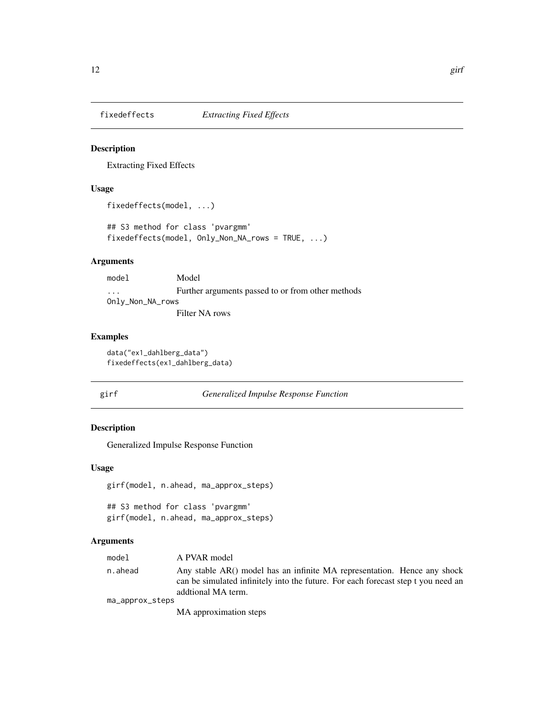<span id="page-11-2"></span><span id="page-11-0"></span>

Extracting Fixed Effects

### Usage

```
fixedeffects(model, ...)
```
## S3 method for class 'pvargmm' fixedeffects(model, Only\_Non\_NA\_rows = TRUE, ...)

### Arguments

| model            | Model                                             |
|------------------|---------------------------------------------------|
| $\cdot$          | Further arguments passed to or from other methods |
| Only_Non_NA_rows |                                                   |
|                  | Filter NA rows                                    |

### Examples

data("ex1\_dahlberg\_data") fixedeffects(ex1\_dahlberg\_data)

<span id="page-11-1"></span>

|  | × |  |
|--|---|--|

## girf *Generalized Impulse Response Function*

### Description

Generalized Impulse Response Function

### Usage

```
girf(model, n.ahead, ma_approx_steps)
```
## S3 method for class 'pvargmm' girf(model, n.ahead, ma\_approx\_steps)

| model           | A PVAR model                                                                                                                                                                        |
|-----------------|-------------------------------------------------------------------------------------------------------------------------------------------------------------------------------------|
| n.ahead         | Any stable AR() model has an infinite MA representation. Hence any shock<br>can be simulated infinitely into the future. For each forecast step t you need an<br>addtional MA term. |
| ma_approx_steps | MA approximation steps                                                                                                                                                              |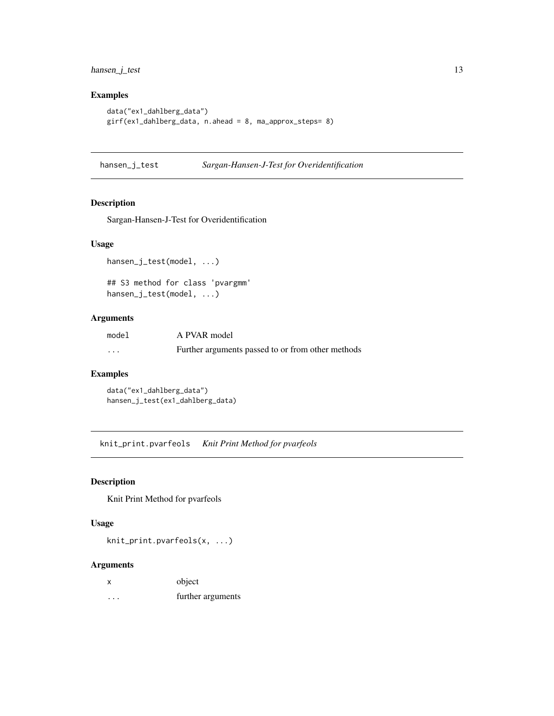<span id="page-12-0"></span>hansen\_j\_test 13

### Examples

```
data("ex1_dahlberg_data")
girf(ex1_dahlberg_data, n.ahead = 8, ma_approx_steps= 8)
```
hansen\_j\_test *Sargan-Hansen-J-Test for Overidentification*

### Description

Sargan-Hansen-J-Test for Overidentification

### Usage

hansen\_j\_test(model, ...)

## S3 method for class 'pvargmm' hansen\_j\_test(model, ...)

### Arguments

| model    | A PVAR model                                      |
|----------|---------------------------------------------------|
| $\cdots$ | Further arguments passed to or from other methods |

### Examples

data("ex1\_dahlberg\_data") hansen\_j\_test(ex1\_dahlberg\_data)

knit\_print.pvarfeols *Knit Print Method for pvarfeols*

### Description

Knit Print Method for pvarfeols

### Usage

knit\_print.pvarfeols(x, ...)

| X        | object            |
|----------|-------------------|
| $\cdots$ | further arguments |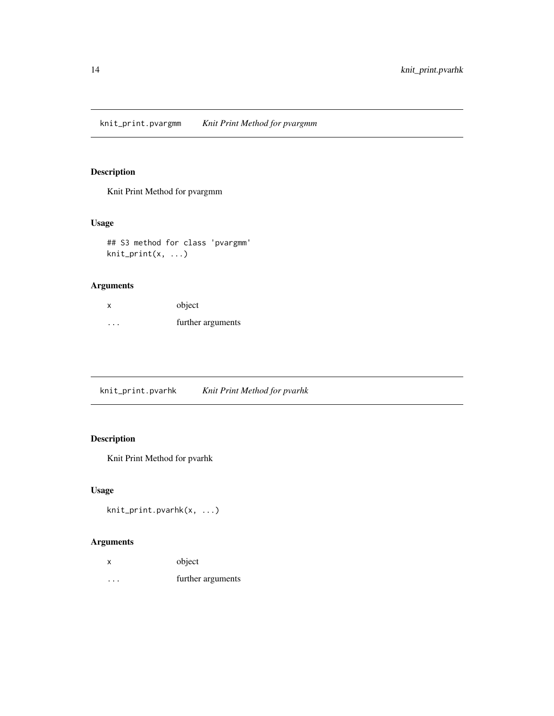<span id="page-13-0"></span>knit\_print.pvargmm *Knit Print Method for pvargmm*

### Description

Knit Print Method for pvargmm

### Usage

## S3 method for class 'pvargmm' knit\_print(x, ...)

### Arguments

| х | object            |
|---|-------------------|
| . | further arguments |

knit\_print.pvarhk *Knit Print Method for pvarhk*

### Description

Knit Print Method for pvarhk

### Usage

```
knit_print.pvarhk(x, ...)
```

| X | object            |
|---|-------------------|
| . | further arguments |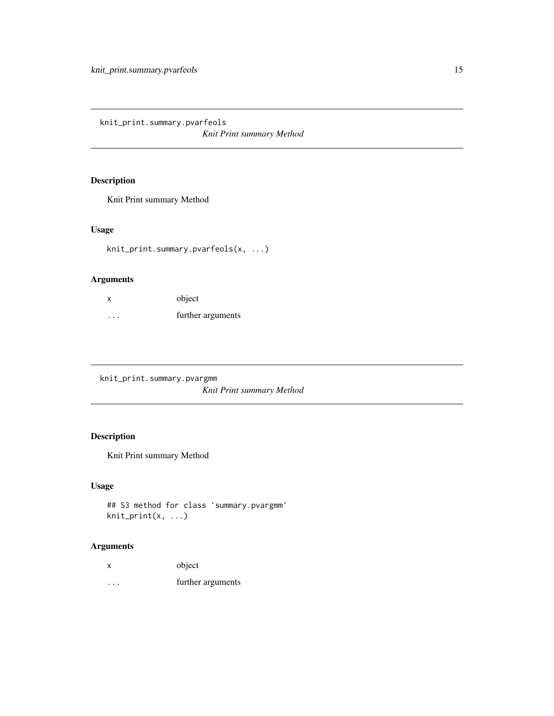<span id="page-14-0"></span>knit\_print.summary.pvarfeols *Knit Print summary Method*

### Description

Knit Print summary Method

### Usage

knit\_print.summary.pvarfeols(x, ...)

### Arguments

| X        | object            |
|----------|-------------------|
| $\cdots$ | further arguments |

knit\_print.summary.pvargmm *Knit Print summary Method*

### Description

Knit Print summary Method

### Usage

```
## S3 method for class 'summary.pvargmm'
knit_print(x, ...)
```

| X       | object            |
|---------|-------------------|
| $\cdot$ | further arguments |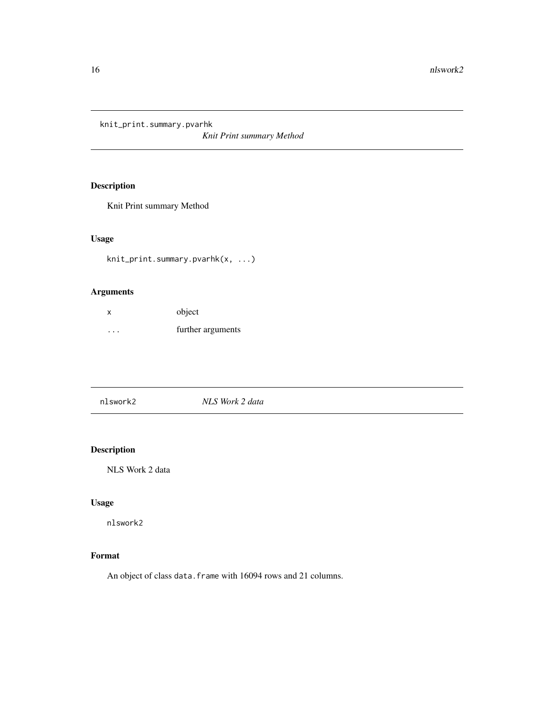<span id="page-15-0"></span>knit\_print.summary.pvarhk

*Knit Print summary Method*

## Description

Knit Print summary Method

### Usage

knit\_print.summary.pvarhk(x, ...)

### Arguments

| X         | object            |
|-----------|-------------------|
| $\ddotsc$ | further arguments |

|--|

### Description

NLS Work 2 data

### Usage

nlswork2

### Format

An object of class data.frame with 16094 rows and 21 columns.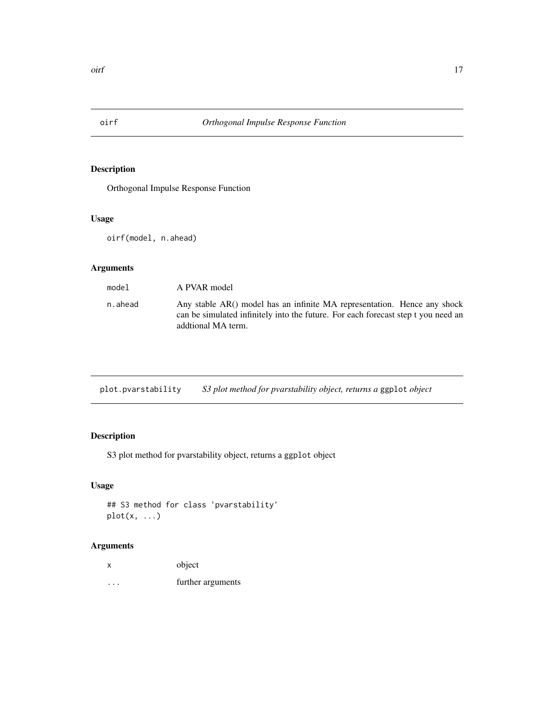<span id="page-16-1"></span><span id="page-16-0"></span>

Orthogonal Impulse Response Function

### Usage

oirf(model, n.ahead)

### Arguments

| model   | A PVAR model                                                                                                                                                                        |
|---------|-------------------------------------------------------------------------------------------------------------------------------------------------------------------------------------|
| n.ahead | Any stable AR() model has an infinite MA representation. Hence any shock<br>can be simulated infinitely into the future. For each forecast step t you need an<br>addtional MA term. |

| plot.pvarstability |  | S3 plot method for pvarstability object, returns a ggplot object |
|--------------------|--|------------------------------------------------------------------|
|                    |  |                                                                  |

### Description

S3 plot method for pvarstability object, returns a ggplot object

### Usage

```
## S3 method for class 'pvarstability'
plot(x, ...)
```

| X       | object            |
|---------|-------------------|
| $\cdot$ | further arguments |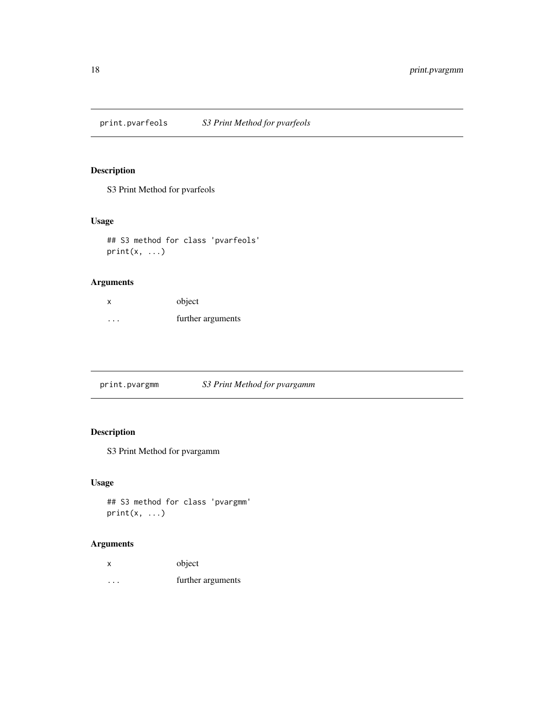<span id="page-17-0"></span>print.pvarfeols *S3 Print Method for pvarfeols*

### Description

S3 Print Method for pvarfeols

### Usage

```
## S3 method for class 'pvarfeols'
print(x, ...)
```
### Arguments

| X       | object            |
|---------|-------------------|
| $\cdot$ | further arguments |

print.pvargmm *S3 Print Method for pvargamm*

### Description

S3 Print Method for pvargamm

### Usage

```
## S3 method for class 'pvargmm'
print(x, \ldots)
```

| x | object            |
|---|-------------------|
| . | further arguments |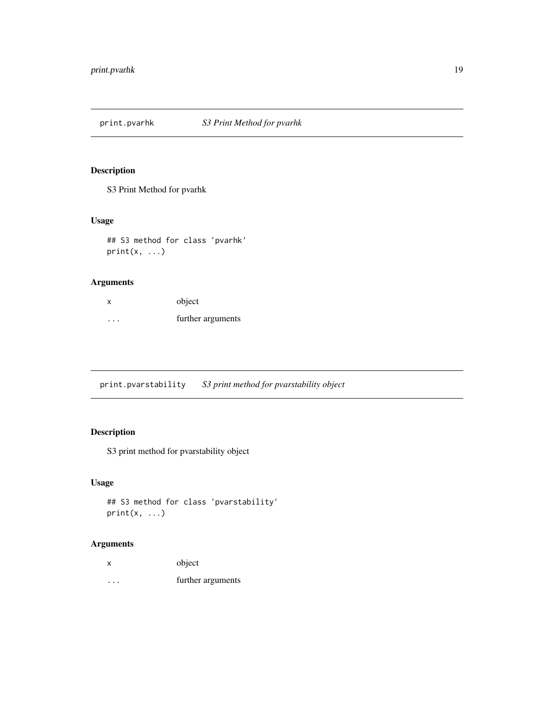<span id="page-18-0"></span>print.pvarhk *S3 Print Method for pvarhk*

### Description

S3 Print Method for pvarhk

### Usage

```
## S3 method for class 'pvarhk'
print(x, \ldots)
```
### Arguments

| x | object            |
|---|-------------------|
| . | further arguments |

print.pvarstability *S3 print method for pvarstability object*

### Description

S3 print method for pvarstability object

### Usage

```
## S3 method for class 'pvarstability'
print(x, \ldots)
```

| x       | object            |
|---------|-------------------|
| $\cdot$ | further arguments |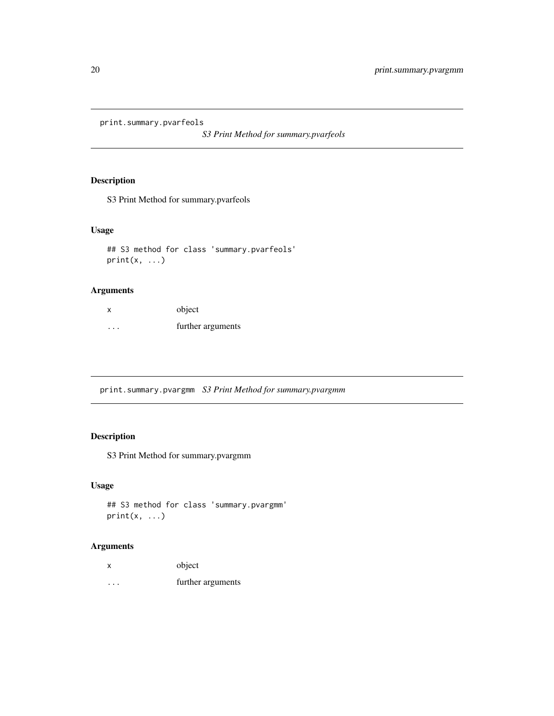<span id="page-19-0"></span>print.summary.pvarfeols

*S3 Print Method for summary.pvarfeols*

### Description

S3 Print Method for summary.pvarfeols

### Usage

## S3 method for class 'summary.pvarfeols'  $print(x, \ldots)$ 

### Arguments

| х         | object            |
|-----------|-------------------|
| $\ddotsc$ | further arguments |

print.summary.pvargmm *S3 Print Method for summary.pvargmm*

### Description

S3 Print Method for summary.pvargmm

### Usage

```
## S3 method for class 'summary.pvargmm'
print(x, \ldots)
```

| X       | object            |
|---------|-------------------|
| $\cdot$ | further arguments |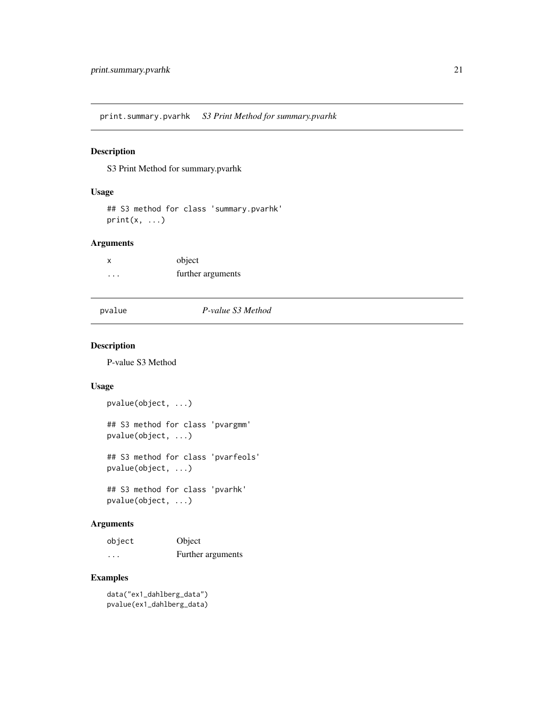<span id="page-20-0"></span>print.summary.pvarhk *S3 Print Method for summary.pvarhk*

### Description

S3 Print Method for summary.pvarhk

### Usage

## S3 method for class 'summary.pvarhk'  $print(x, \ldots)$ 

### Arguments

| $\boldsymbol{\mathsf{x}}$ | object            |
|---------------------------|-------------------|
| $\cdot$ $\cdot$ $\cdot$   | further arguments |

pvalue *P-value S3 Method*

### Description

P-value S3 Method

### Usage

pvalue(object, ...) ## S3 method for class 'pvargmm' pvalue(object, ...)

## S3 method for class 'pvarfeols' pvalue(object, ...)

## S3 method for class 'pvarhk' pvalue(object, ...)

### Arguments

| object                  | Object            |
|-------------------------|-------------------|
| $\cdot$ $\cdot$ $\cdot$ | Further arguments |

### Examples

data("ex1\_dahlberg\_data") pvalue(ex1\_dahlberg\_data)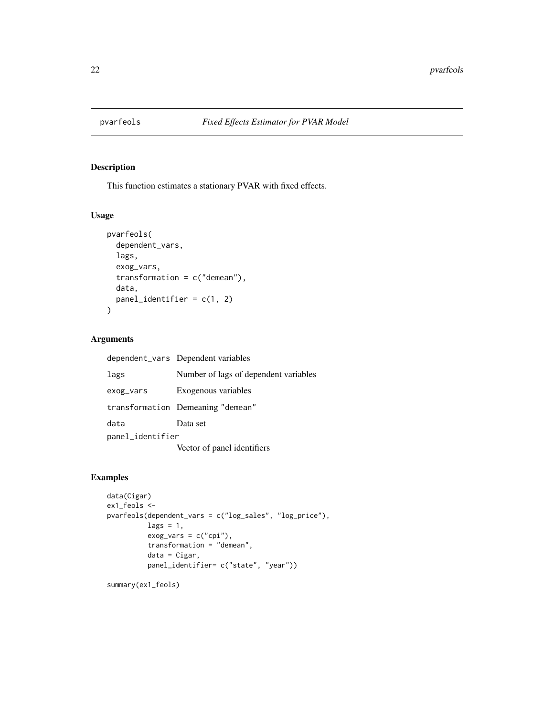<span id="page-21-0"></span>

This function estimates a stationary PVAR with fixed effects.

### Usage

```
pvarfeols(
  dependent_vars,
  lags,
  exog_vars,
  transformation = c("demean"),
  data,
  panel_identifier = c(1, 2)
\mathcal{E}
```
### Arguments

|                  | dependent_vars Dependent variables    |
|------------------|---------------------------------------|
| lags             | Number of lags of dependent variables |
| exog_vars        | Exogenous variables                   |
|                  | transformation Demeaning "demean"     |
| data             | Data set                              |
| panel_identifier |                                       |
|                  | Vector of panel identifiers           |

### Examples

```
data(Cigar)
ex1_feols <-
pvarfeols(dependent_vars = c("log_sales", "log_price"),
         lags = 1,exog_vars = c("cpi"),
         transformation = "demean",
         data = Cigar,
         panel_identifier= c("state", "year"))
```
summary(ex1\_feols)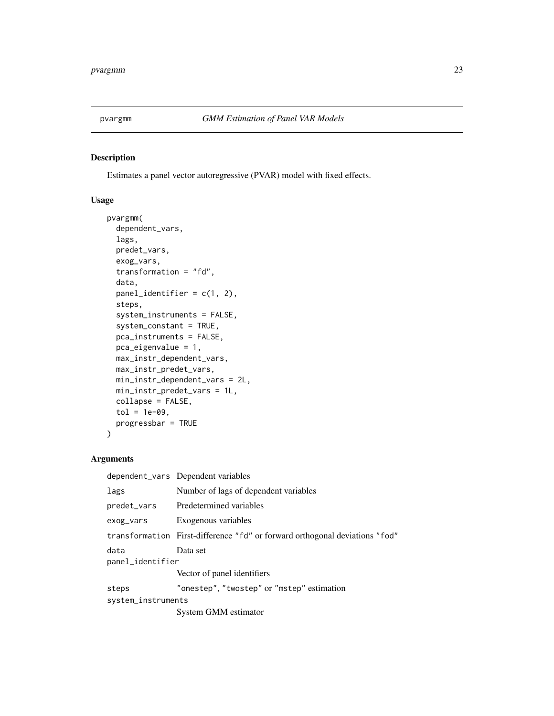<span id="page-22-1"></span><span id="page-22-0"></span>

Estimates a panel vector autoregressive (PVAR) model with fixed effects.

### Usage

```
pvargmm(
  dependent_vars,
  lags,
 predet_vars,
  exog_vars,
  transformation = "fd",
  data,
 panel_identifier = c(1, 2),
  steps,
  system_instruments = FALSE,
  system_constant = TRUE,
 pca_instruments = FALSE,
 pca_eigenvalue = 1,
 max_instr_dependent_vars,
 max_instr_predet_vars,
 min_instr_dependent_vars = 2L,
 min_instr_predet_vars = 1L,
  collapse = FALSE,
  tol = 1e-09,progressbar = TRUE
\mathcal{L}
```

|                          | dependent_vars Dependent variables                                          |
|--------------------------|-----------------------------------------------------------------------------|
| lags                     | Number of lags of dependent variables                                       |
| predet_vars              | Predetermined variables                                                     |
| exog_vars                | Exogenous variables                                                         |
|                          | transformation First-difference "fd" or forward orthogonal deviations "fod" |
| data<br>panel_identifier | Data set                                                                    |
|                          | Vector of panel identifiers                                                 |
| steps                    | "onestep", "twostep" or "mstep" estimation                                  |
| system_instruments       |                                                                             |
|                          | System GMM estimator                                                        |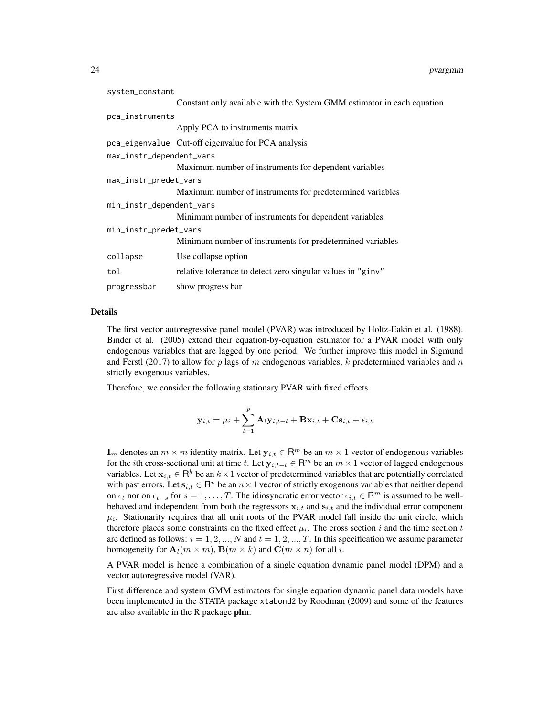| system_constant          |                                                                        |  |
|--------------------------|------------------------------------------------------------------------|--|
|                          | Constant only available with the System GMM estimator in each equation |  |
| pca_instruments          |                                                                        |  |
|                          | Apply PCA to instruments matrix                                        |  |
|                          | pca_eigenvalue Cut-off eigenvalue for PCA analysis                     |  |
| max_instr_dependent_vars |                                                                        |  |
|                          | Maximum number of instruments for dependent variables                  |  |
| max_instr_predet_vars    |                                                                        |  |
|                          | Maximum number of instruments for predetermined variables              |  |
| min_instr_dependent_vars |                                                                        |  |
|                          | Minimum number of instruments for dependent variables                  |  |
| min_instr_predet_vars    |                                                                        |  |
|                          | Minimum number of instruments for predetermined variables              |  |
| collapse                 | Use collapse option                                                    |  |
| tol                      | relative tolerance to detect zero singular values in "ginv"            |  |
| progressbar              | show progress bar                                                      |  |

### Details

The first vector autoregressive panel model (PVAR) was introduced by Holtz-Eakin et al. (1988). Binder et al. (2005) extend their equation-by-equation estimator for a PVAR model with only endogenous variables that are lagged by one period. We further improve this model in Sigmund and Ferstl (2017) to allow for p lags of m endogenous variables, k predetermined variables and n strictly exogenous variables.

Therefore, we consider the following stationary PVAR with fixed effects.

$$
\mathbf{y}_{i,t} = \mu_i + \sum_{l=1}^{p} \mathbf{A}_l \mathbf{y}_{i,t-l} + \mathbf{B} \mathbf{x}_{i,t} + \mathbf{C} \mathbf{s}_{i,t} + \epsilon_{i,t}
$$

 $\mathbf{I}_m$  denotes an  $m \times m$  identity matrix. Let  $\mathbf{y}_{i,t} \in \mathsf{R}^m$  be an  $m \times 1$  vector of endogenous variables for the *i*th cross-sectional unit at time t. Let  $y_{i,t-1} \in \mathsf{R}^m$  be an  $m \times 1$  vector of lagged endogenous variables. Let  $x_{i,t} \in \mathsf{R}^k$  be an  $k \times 1$  vector of predetermined variables that are potentially correlated with past errors. Let  $s_{i,t} \in \mathbb{R}^n$  be an  $n \times 1$  vector of strictly exogenous variables that neither depend on  $\epsilon_t$  nor on  $\epsilon_{t-s}$  for  $s = 1, \ldots, T$ . The idiosyncratic error vector  $\epsilon_{i,t} \in \mathbb{R}^m$  is assumed to be wellbehaved and independent from both the regressors  $x_{i,t}$  and  $s_{i,t}$  and the individual error component  $\mu_i$ . Stationarity requires that all unit roots of the PVAR model fall inside the unit circle, which therefore places some constraints on the fixed effect  $\mu_i$ . The cross section i and the time section t are defined as follows:  $i = 1, 2, ..., N$  and  $t = 1, 2, ..., T$ . In this specification we assume parameter homogeneity for  $\mathbf{A}_l(m \times m)$ ,  $\mathbf{B}(m \times k)$  and  $\mathbf{C}(m \times n)$  for all i.

A PVAR model is hence a combination of a single equation dynamic panel model (DPM) and a vector autoregressive model (VAR).

First difference and system GMM estimators for single equation dynamic panel data models have been implemented in the STATA package xtabond2 by Roodman (2009) and some of the features are also available in the R package plm.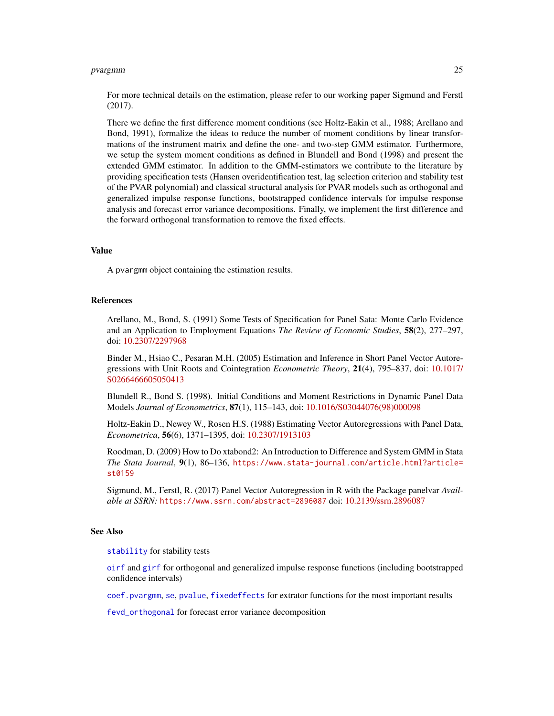### <span id="page-24-0"></span>pvargmm 25

For more technical details on the estimation, please refer to our working paper Sigmund and Ferstl (2017).

There we define the first difference moment conditions (see Holtz-Eakin et al., 1988; Arellano and Bond, 1991), formalize the ideas to reduce the number of moment conditions by linear transformations of the instrument matrix and define the one- and two-step GMM estimator. Furthermore, we setup the system moment conditions as defined in Blundell and Bond (1998) and present the extended GMM estimator. In addition to the GMM-estimators we contribute to the literature by providing specification tests (Hansen overidentification test, lag selection criterion and stability test of the PVAR polynomial) and classical structural analysis for PVAR models such as orthogonal and generalized impulse response functions, bootstrapped confidence intervals for impulse response analysis and forecast error variance decompositions. Finally, we implement the first difference and the forward orthogonal transformation to remove the fixed effects.

#### Value

A pvargmm object containing the estimation results.

#### References

Arellano, M., Bond, S. (1991) Some Tests of Specification for Panel Sata: Monte Carlo Evidence and an Application to Employment Equations *The Review of Economic Studies*, 58(2), 277–297, doi: [10.2307/2297968](https://doi.org/10.2307/2297968)

Binder M., Hsiao C., Pesaran M.H. (2005) Estimation and Inference in Short Panel Vector Autoregressions with Unit Roots and Cointegration *Econometric Theory*, 21(4), 795–837, doi: [10.1017/](https://doi.org/10.1017/S0266466605050413) [S0266466605050413](https://doi.org/10.1017/S0266466605050413)

Blundell R., Bond S. (1998). Initial Conditions and Moment Restrictions in Dynamic Panel Data Models *Journal of Econometrics*, 87(1), 115–143, doi: [10.1016/S03044076\(98\)000098](https://doi.org/10.1016/S0304-4076(98)00009-8)

Holtz-Eakin D., Newey W., Rosen H.S. (1988) Estimating Vector Autoregressions with Panel Data, *Econometrica*, 56(6), 1371–1395, doi: [10.2307/1913103](https://doi.org/10.2307/1913103)

Roodman, D. (2009) How to Do xtabond2: An Introduction to Difference and System GMM in Stata *The Stata Journal*, 9(1), 86–136, [https://www.stata-journal.com/article.html?article=](https://www.stata-journal.com/article.html?article=st0159) [st0159](https://www.stata-journal.com/article.html?article=st0159)

Sigmund, M., Ferstl, R. (2017) Panel Vector Autoregression in R with the Package panelvar *Available at SSRN:* <https://www.ssrn.com/abstract=2896087> doi: [10.2139/ssrn.2896087](https://doi.org/10.2139/ssrn.2896087)

### See Also

[stability](#page-27-1) for stability tests

[oirf](#page-16-1) and [girf](#page-11-1) for orthogonal and generalized impulse response functions (including bootstrapped confidence intervals)

[coef.pvargmm](#page-6-1), [se](#page-26-1), [pvalue](#page-20-1), [fixedeffects](#page-11-2) for extrator functions for the most important results

[fevd\\_orthogonal](#page-10-1) for forecast error variance decomposition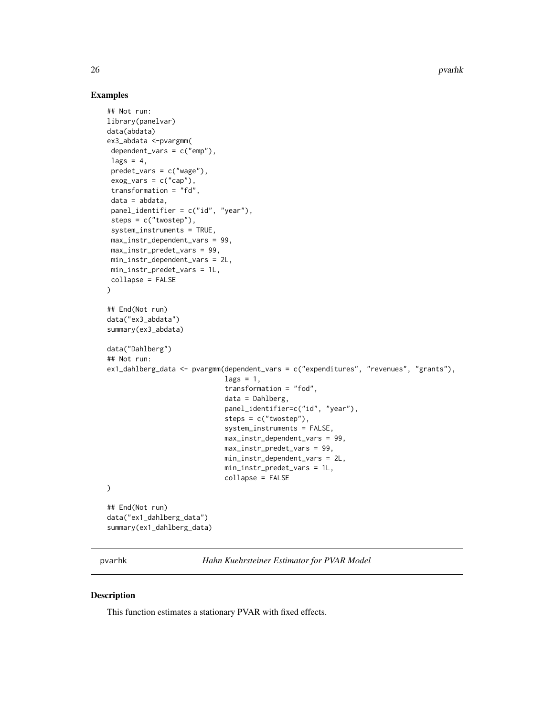26 pvarhk van die 19de eeu n.C. is die 19de eeu n.C. In die 19de eeu n.C. In die 19de eeu n.C. In die 19de eeu n.C. In die 19de eeu n.C. In die 19de eeu n.C. In die 19de eeu n.C. In die 19de eeu n.C. In die 19de eeu n.C. I

### Examples

```
## Not run:
library(panelvar)
data(abdata)
ex3_abdata <-pvargmm(
 dependent_vars = c("emp"),
 lags = 4,predet_vars = c("wage"),
 exog_vars = c("cap"),transformation = "fd",
 data = abdata,
 panel_identifier = c("id", "year"),
 steps = c("twostep"),
 system_instruments = TRUE,
 max_instr_dependent_vars = 99,
 max_instr_predet_vars = 99,
 min_instr_dependent_vars = 2L,
min_instr_predet_vars = 1L,
 collapse = FALSE
\mathcal{L}## End(Not run)
data("ex3_abdata")
summary(ex3_abdata)
data("Dahlberg")
## Not run:
ex1_dahlberg_data <- pvargmm(dependent_vars = c("expenditures", "revenues", "grants"),
                             lags = 1,transformation = "fod",
                             data = Dahlberg,
                             panel_identifier=c("id", "year"),
                             steps = c("twostep"),
                              system_instruments = FALSE,
                             max_instr_dependent_vars = 99,
                             max_instr_predet_vars = 99,
                             min_instr_dependent_vars = 2L,
                             min_instr_predet_vars = 1L,
                             collapse = FALSE
)
## End(Not run)
data("ex1_dahlberg_data")
summary(ex1_dahlberg_data)
```
pvarhk *Hahn Kuehrsteiner Estimator for PVAR Model*

### Description

This function estimates a stationary PVAR with fixed effects.

<span id="page-25-0"></span>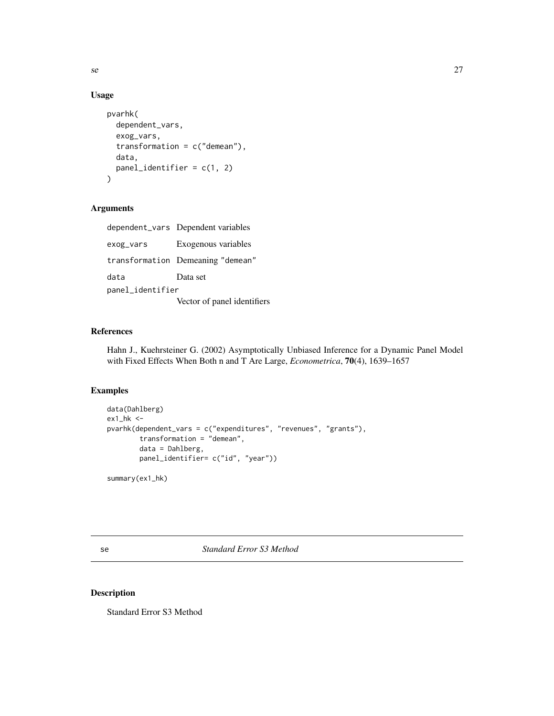### Usage

```
pvarhk(
  dependent_vars,
  exog_vars,
  transformation = c("demean"),
  data,
  panel_identifier = c(1, 2)
\mathcal{E}
```
### Arguments

|                  | dependent_vars Dependent variables |
|------------------|------------------------------------|
| exog_vars        | Exogenous variables                |
|                  | transformation Demeaning "demean"  |
| data             | Data set                           |
| panel_identifier |                                    |
|                  | Vector of panel identifiers        |

### References

Hahn J., Kuehrsteiner G. (2002) Asymptotically Unbiased Inference for a Dynamic Panel Model with Fixed Effects When Both n and T Are Large, *Econometrica*, 70(4), 1639–1657

### Examples

```
data(Dahlberg)
ex1_hk <-
pvarhk(dependent_vars = c("expenditures", "revenues", "grants"),
       transformation = "demean",
       data = Dahlberg,
       panel_identifier= c("id", "year"))
```
summary(ex1\_hk)

<span id="page-26-1"></span>se *Standard Error S3 Method*

### Description

Standard Error S3 Method

<span id="page-26-0"></span>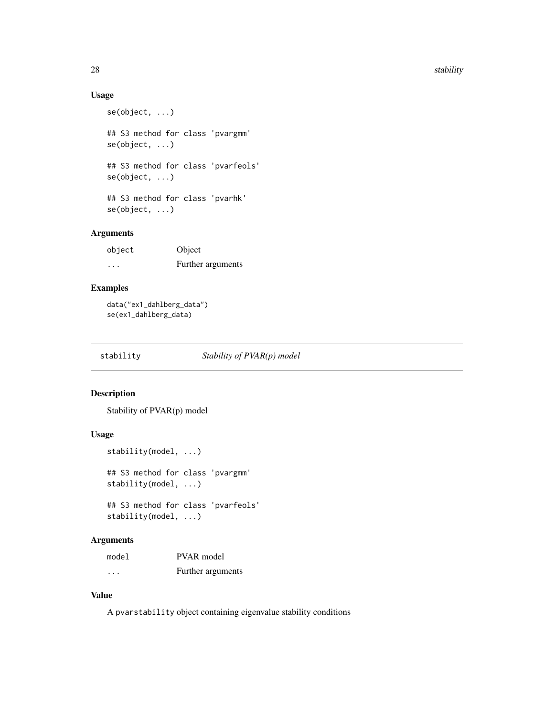### <span id="page-27-0"></span>Usage

```
se(object, ...)
## S3 method for class 'pvargmm'
se(object, ...)
## S3 method for class 'pvarfeols'
se(object, ...)
## S3 method for class 'pvarhk'
se(object, ...)
```
### Arguments

| object  | Object            |
|---------|-------------------|
| $\cdot$ | Further arguments |

### Examples

data("ex1\_dahlberg\_data") se(ex1\_dahlberg\_data)

<span id="page-27-1"></span>

stability *Stability of PVAR(p) model*

### Description

Stability of PVAR(p) model

### Usage

```
stability(model, ...)
```

```
## S3 method for class 'pvargmm'
stability(model, ...)
```
## S3 method for class 'pvarfeols' stability(model, ...)

### Arguments

| model | <b>PVAR</b> model |
|-------|-------------------|
| .     | Further arguments |

### Value

A pvarstability object containing eigenvalue stability conditions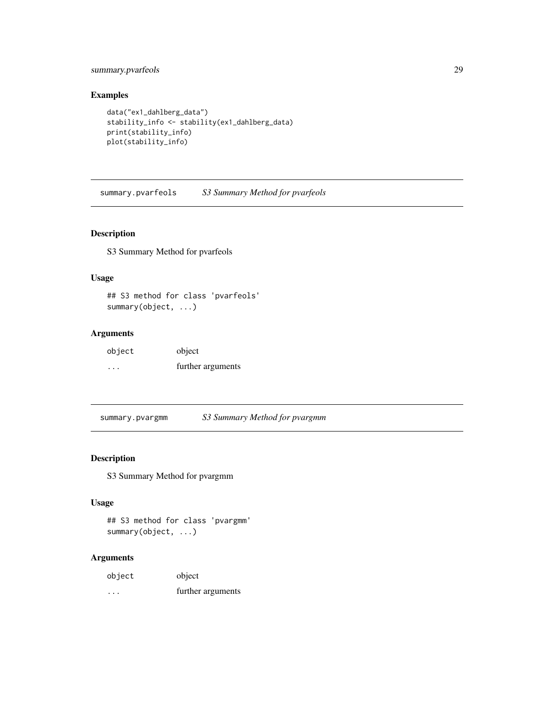### <span id="page-28-0"></span>summary.pvarfeols 29

### Examples

```
data("ex1_dahlberg_data")
stability_info <- stability(ex1_dahlberg_data)
print(stability_info)
plot(stability_info)
```
summary.pvarfeols *S3 Summary Method for pvarfeols*

### Description

S3 Summary Method for pvarfeols

### Usage

## S3 method for class 'pvarfeols' summary(object, ...)

### Arguments

| object | object            |
|--------|-------------------|
| .      | further arguments |

summary.pvargmm *S3 Summary Method for pvargmm*

### Description

S3 Summary Method for pvargmm

### Usage

```
## S3 method for class 'pvargmm'
summary(object, ...)
```

| object  | object            |
|---------|-------------------|
| $\cdot$ | further arguments |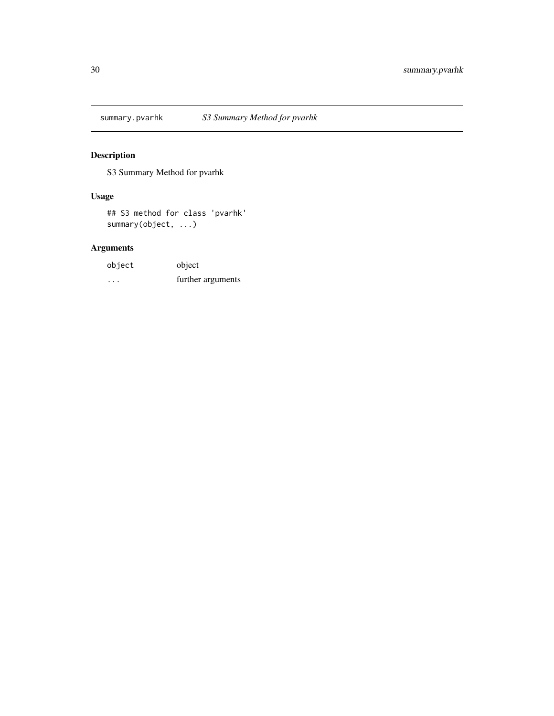<span id="page-29-0"></span>

S3 Summary Method for pvarhk

### Usage

## S3 method for class 'pvarhk' summary(object, ...)

| object | object            |
|--------|-------------------|
| .      | further arguments |